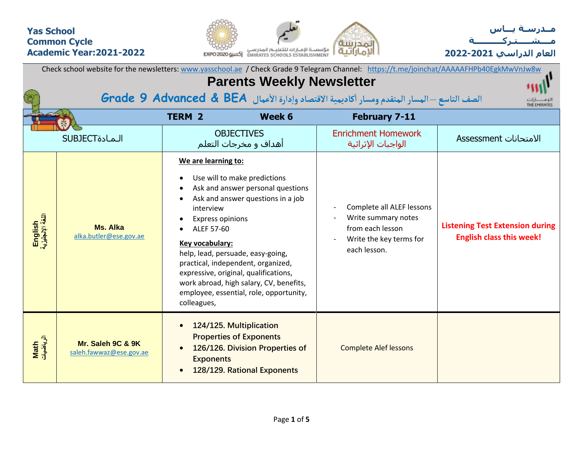## **Yas School Common Cycle Academic Year:2021-2022**





| Check school website for the newsletters: www.yasschool.ae / Check Grade 9 Telegram Channel: https://t.me/joinchat/AAAAAFHPb40EgkMwVnJw8w<br><b>Parents Weekly Newsletter</b> |                                              |                                                                                                                    |                                                                                                                                                                                                                                                                                                                  |                                                                                                                 |                                                                           |  |  |  |  |  |  |  |
|-------------------------------------------------------------------------------------------------------------------------------------------------------------------------------|----------------------------------------------|--------------------------------------------------------------------------------------------------------------------|------------------------------------------------------------------------------------------------------------------------------------------------------------------------------------------------------------------------------------------------------------------------------------------------------------------|-----------------------------------------------------------------------------------------------------------------|---------------------------------------------------------------------------|--|--|--|--|--|--|--|
|                                                                                                                                                                               |                                              |                                                                                                                    |                                                                                                                                                                                                                                                                                                                  | الصف التاسع - المسار المتقدم ومسار أكاديمية الاقتصاد وإدارة الأعمال Grade 9 Advanced & BEA                      | THE EMIRATES                                                              |  |  |  |  |  |  |  |
|                                                                                                                                                                               |                                              | <b>TERM 2</b>                                                                                                      | Week 6                                                                                                                                                                                                                                                                                                           | <b>February 7-11</b>                                                                                            |                                                                           |  |  |  |  |  |  |  |
|                                                                                                                                                                               | <b>SUBJECT</b>                               |                                                                                                                    | <b>OBJECTIVES</b><br>أهداف و مخرجات التعلم                                                                                                                                                                                                                                                                       | <b>Enrichment Homework</b><br>الواجبات الإثرائية                                                                | الامتحانات Assessment                                                     |  |  |  |  |  |  |  |
| English<br>اللغة الإنجليزية                                                                                                                                                   | Ms. Alka<br>alka.butler@ese.gov.ae           | We are learning to:<br>interview<br><b>Express opinions</b><br>ALEF 57-60<br><b>Key vocabulary:</b><br>colleagues, | Use will to make predictions<br>Ask and answer personal questions<br>Ask and answer questions in a job<br>help, lead, persuade, easy-going,<br>practical, independent, organized,<br>expressive, original, qualifications,<br>work abroad, high salary, CV, benefits,<br>employee, essential, role, opportunity, | Complete all ALEF lessons<br>Write summary notes<br>from each lesson<br>Write the key terms for<br>each lesson. | <b>Listening Test Extension during</b><br><b>English class this week!</b> |  |  |  |  |  |  |  |
| Math<br>الرياضيات                                                                                                                                                             | Mr. Saleh 9C & 9K<br>saleh.fawwaz@ese.gov.ae | <b>Exponents</b>                                                                                                   | 124/125. Multiplication<br><b>Properties of Exponents</b><br>126/126. Division Properties of<br>128/129. Rational Exponents                                                                                                                                                                                      | <b>Complete Alef lessons</b>                                                                                    |                                                                           |  |  |  |  |  |  |  |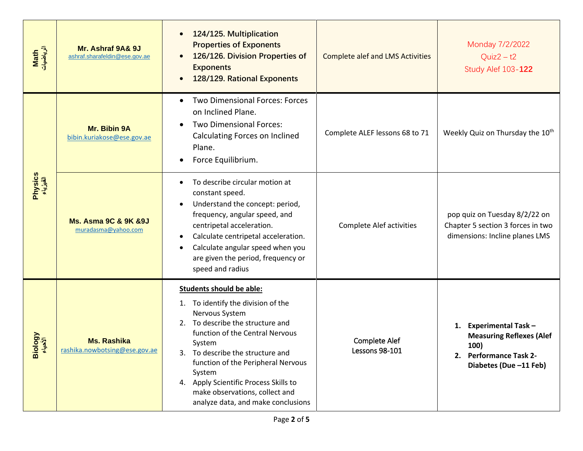| Math<br>الرياضيات   | Mr. Ashraf 9A& 9J<br>ashraf.sharafeldin@ese.gov.ae          | 124/125. Multiplication<br><b>Properties of Exponents</b><br>126/126. Division Properties of<br><b>Exponents</b><br>128/129. Rational Exponents                                                                                                                                                                                                                               | <b>Complete alef and LMS Activities</b> | Monday 7/2/2022<br>$Quiz2 - t2$<br><b>Study Alef 103-122</b>                                                          |  |  |  |  |
|---------------------|-------------------------------------------------------------|-------------------------------------------------------------------------------------------------------------------------------------------------------------------------------------------------------------------------------------------------------------------------------------------------------------------------------------------------------------------------------|-----------------------------------------|-----------------------------------------------------------------------------------------------------------------------|--|--|--|--|
|                     | Mr. Bibin 9A<br>bibin.kuriakose@ese.gov.ae                  | Two Dimensional Forces: Forces<br>$\bullet$<br>on Inclined Plane.<br>Two Dimensional Forces:<br>Calculating Forces on Inclined<br>Plane.<br>Force Equilibrium.                                                                                                                                                                                                                | Complete ALEF lessons 68 to 71          | Weekly Quiz on Thursday the 10 <sup>th</sup>                                                                          |  |  |  |  |
| Physics<br>الفیزیاء | <b>Ms. Asma 9C &amp; 9K &amp; 9J</b><br>muradasma@yahoo.com | To describe circular motion at<br>constant speed.<br>Understand the concept: period,<br>frequency, angular speed, and<br>centripetal acceleration.<br>Calculate centripetal acceleration.<br>Calculate angular speed when you<br>are given the period, frequency or<br>speed and radius                                                                                       | <b>Complete Alef activities</b>         | pop quiz on Tuesday 8/2/22 on<br>Chapter 5 section 3 forces in two<br>dimensions: Incline planes LMS                  |  |  |  |  |
| Vgology<br>ö        | <b>Ms. Rashika</b><br>rashika.nowbotsing@ese.gov.ae         | <b>Students should be able:</b><br>1. To identify the division of the<br>Nervous System<br>To describe the structure and<br>2.<br>function of the Central Nervous<br>System<br>To describe the structure and<br>function of the Peripheral Nervous<br>System<br>4. Apply Scientific Process Skills to<br>make observations, collect and<br>analyze data, and make conclusions | <b>Complete Alef</b><br>Lessons 98-101  | 1. Experimental Task -<br><b>Measuring Reflexes (Alef</b><br>100)<br>2. Performance Task 2-<br>Diabetes (Due -11 Feb) |  |  |  |  |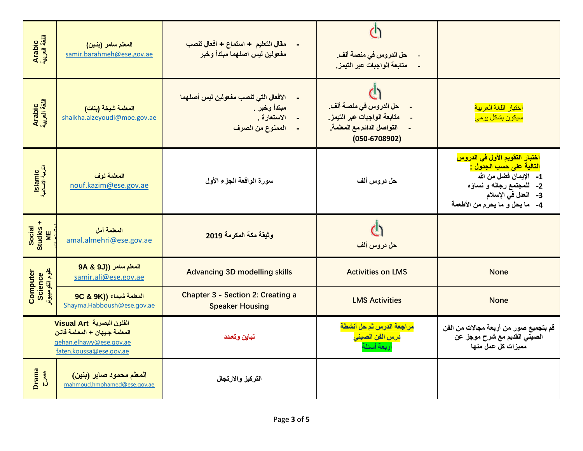| Arabic<br>اللغة العربية          | المعلم سامر (بنين)<br>samir.barahmeh@ese.gov.ae                                                                 | مقال التعليم + استماع + افعال تنصب<br>مفعولين ليس اصلهما مبتدأ وخبر                     | حل الدروس في منصة ألف.<br>متابعة الواجبات عبر التيمز.                                                    |                                                                                                                                                                                             |
|----------------------------------|-----------------------------------------------------------------------------------------------------------------|-----------------------------------------------------------------------------------------|----------------------------------------------------------------------------------------------------------|---------------------------------------------------------------------------------------------------------------------------------------------------------------------------------------------|
| Arabic<br>اللغة العربية          | المعلمة شيخة (بنات)<br>shaikha.alzeyoudi@moe.gov.ae                                                             | الافعال التي تنصب مفعولين ليس أصلهما<br>مبتدأ وخبر .<br>الاستعارة .<br>الممنوع من الصرف | حل الدروس في منصة ألف.<br>متابعة الواجبات عبر التيمز.<br>التواصل الدائم مع المعلمة.<br>$(050 - 6708902)$ | اختبار اللغة العربية<br><mark>سیکون بشکل یومی</mark>                                                                                                                                        |
| Islamic<br>التربية الإسلامية     | المعلمة نوف<br>nouf.kazim@ese.gov.ae                                                                            | سورة الواقعة الجزء الأول                                                                | حل دروس ألف                                                                                              | اختبار التقويم الأول ف <i>ي</i> الدروس<br>التالية على حسب الجدول <u>:</u><br>1- الإيمان فضل من الله<br>2- للمجتمع رجاله و نساؤه<br>3- العدل في الإسلام<br>4-    ما يحل و ما يحرم من الأطعمة |
| Studies +<br>ME<br><b>Social</b> | المعلمة أمل<br>amal.almehri@ese.gov.ae                                                                          | وثيقة مكة المكرمة 2019                                                                  | حل دروس ألف                                                                                              |                                                                                                                                                                                             |
| Science<br>علوم الکومبیوتر       | المعلم سامر ((9J 9A & 9J<br>samir.ali@ese.gov.ae                                                                | <b>Advancing 3D modelling skills</b>                                                    | <b>Activities on LMS</b>                                                                                 | <b>None</b>                                                                                                                                                                                 |
| Computer                         | 9C & 9K)) المعلمة شيماء<br>Shayma.Habboush@ese.gov.ae                                                           | <b>Chapter 3 - Section 2: Creating a</b><br><b>Speaker Housing</b>                      | <b>LMS Activities</b>                                                                                    | <b>None</b>                                                                                                                                                                                 |
|                                  | الفنون البصرية Visual Art<br>المعلمة جيهان + المعلمة فاتن<br>gehan.elhawy@ese.gov.ae<br>faten.koussa@ese.gov.ae | تباين وتعدد                                                                             | <mark>مراجعة الدرس ثم حل أنشطة</mark><br><mark>درس الفن الصين<i>ي</i></mark><br>أربعة أسئلة              | قم بتجميع صور من أربعة مجالات من الفن<br>الصيني القديم مع شرح موجز عن<br>مميزات كل عمل منها                                                                                                 |
| Drama<br>$\sum_{i=1}^{n}$        | المعلم محمود صابر (بنين)<br>mahmoud.hmohamed@ese.gov.ae                                                         | التركيز والارتجال                                                                       |                                                                                                          |                                                                                                                                                                                             |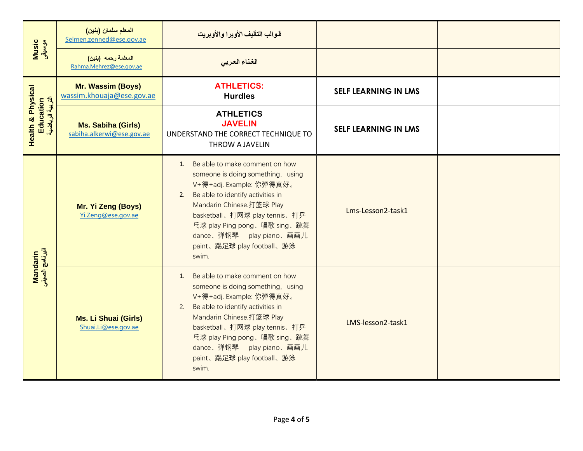|                                                               | المعلم سلمان (بنين)<br>Selmen.zenned@ese.gov.ae        | قوالب التأليف الأوبرا والأوبريت                                                                                                                                                                                                                                                                                   |                             |  |
|---------------------------------------------------------------|--------------------------------------------------------|-------------------------------------------------------------------------------------------------------------------------------------------------------------------------------------------------------------------------------------------------------------------------------------------------------------------|-----------------------------|--|
| Music<br>موسیقی                                               | المعلمة رحمه (بنين)<br>Rahma.Mehrez@ese.gov.ae         | الغناء العربى                                                                                                                                                                                                                                                                                                     |                             |  |
|                                                               | Mr. Wassim (Boys)<br>wassim.khouaja@ese.gov.ae         | <b>ATHLETICS:</b><br><b>Hurdles</b>                                                                                                                                                                                                                                                                               | <b>SELF LEARNING IN LMS</b> |  |
| <b>Health &amp; Physical</b><br>Education<br>التربية الرياضية | <b>Ms. Sabiha (Girls)</b><br>sabiha.alkerwi@ese.gov.ae | <b>ATHLETICS</b><br><b>JAVELIN</b><br>UNDERSTAND THE CORRECT TECHNIQUE TO<br>THROW A JAVELIN                                                                                                                                                                                                                      | <b>SELF LEARNING IN LMS</b> |  |
|                                                               | Mr. Yi Zeng (Boys)<br>Yi.Zeng@ese.gov.ae               | 1. Be able to make comment on how<br>someone is doing something, using<br>V+得+adj. Example: 你弹得真好。<br>Be able to identify activities in<br>2.<br>Mandarin Chinese.打篮球 Play<br>basketball、打网球 play tennis、打乒<br>兵球 play Ping pong、唱歌 sing、跳舞<br>dance、弹钢琴 play piano、画画儿<br>paint、踢足球 play football、游泳<br>swim.    | Lms-Lesson2-task1           |  |
| Mandarin<br>البرنامج الصيني                                   | <b>Ms. Li Shuai (Girls)</b><br>Shuai.Li@ese.gov.ae     | Be able to make comment on how<br>1.<br>someone is doing something, using<br>V+得+adj. Example: 你弹得真好。<br>Be able to identify activities in<br>2.<br>Mandarin Chinese.打篮球 Play<br>basketball、打网球 play tennis、打乒<br>兵球 play Ping pong、唱歌 sing、跳舞<br>dance、弹钢琴 play piano、画画儿<br>paint、踢足球 play football、游泳<br>swim. | LMS-lesson2-task1           |  |